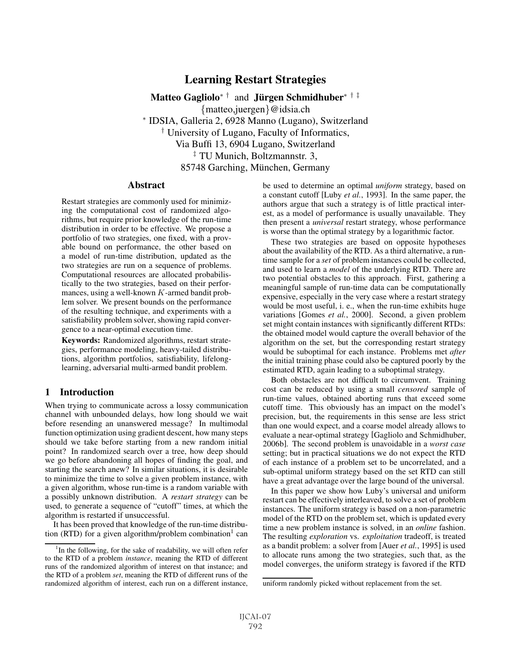# Learning Restart Strategies

Matteo Gagliolo<sup>\*†</sup> and Jürgen Schmidhuber<sup>\*†‡</sup>

{matteo,juergen}@idsia.ch

<sup>∗</sup> IDSIA, Galleria 2, 6928 Manno (Lugano), Switzerland

† University of Lugano, Faculty of Informatics,

Via Buffi 13, 6904 Lugano, Switzerland

‡ TU Munich, Boltzmannstr. 3,

85748 Garching, München, Germany

#### **Abstract**

Restart strategies are commonly used for minimizing the computational cost of randomized algorithms, but require prior knowledge of the run-time distribution in order to be effective. We propose a portfolio of two strategies, one fixed, with a provable bound on performance, the other based on a model of run-time distribution, updated as the two strategies are run on a sequence of problems. Computational resources are allocated probabilistically to the two strategies, based on their performances, using a well-known K-armed bandit problem solver. We present bounds on the performance of the resulting technique, and experiments with a satisfiability problem solver, showing rapid convergence to a near-optimal execution time.

Keywords: Randomized algorithms, restart strategies, performance modeling, heavy-tailed distributions, algorithm portfolios, satisfiability, lifelonglearning, adversarial multi-armed bandit problem.

## 1 Introduction

When trying to communicate across a lossy communication channel with unbounded delays, how long should we wait before resending an unanswered message? In multimodal function optimization using gradient descent, how many steps should we take before starting from a new random initial point? In randomized search over a tree, how deep should we go before abandoning all hopes of finding the goal, and starting the search anew? In similar situations, it is desirable to minimize the time to solve a given problem instance, with a given algorithm, whose run-time is a random variable with a possibly unknown distribution. A *restart strategy* can be used, to generate a sequence of "cutoff" times, at which the algorithm is restarted if unsuccessful.

It has been proved that knowledge of the run-time distribution (RTD) for a given algorithm/problem combination<sup>1</sup> can be used to determine an optimal *uniform* strategy, based on a constant cutoff [Luby *et al.*, 1993]. In the same paper, the authors argue that such a strategy is of little practical interest, as a model of performance is usually unavailable. They then present a *universal* restart strategy, whose performance is worse than the optimal strategy by a logarithmic factor.

These two strategies are based on opposite hypotheses about the availability of the RTD. As a third alternative, a runtime sample for a *set* of problem instances could be collected, and used to learn a *model* of the underlying RTD. There are two potential obstacles to this approach. First, gathering a meaningful sample of run-time data can be computationally expensive, especially in the very case where a restart strategy would be most useful, i. e., when the run-time exhibits huge variations [Gomes *et al.*, 2000]. Second, a given problem set might contain instances with significantly different RTDs: the obtained model would capture the overall behavior of the algorithm on the set, but the corresponding restart strategy would be suboptimal for each instance. Problems met *after* the initial training phase could also be captured poorly by the estimated RTD, again leading to a suboptimal strategy.

Both obstacles are not difficult to circumvent. Training cost can be reduced by using a small *censored* sample of run-time values, obtained aborting runs that exceed some cutoff time. This obviously has an impact on the model's precision, but, the requirements in this sense are less strict than one would expect, and a coarse model already allows to evaluate a near-optimal strategy [Gagliolo and Schmidhuber, 2006b]. The second problem is unavoidable in a *worst case* setting; but in practical situations we do not expect the RTD of each instance of a problem set to be uncorrelated, and a sub-optimal uniform strategy based on the set RTD can still have a great advantage over the large bound of the universal.

In this paper we show how Luby's universal and uniform restart can be effectively interleaved, to solve a set of problem instances. The uniform strategy is based on a non-parametric model of the RTD on the problem set, which is updated every time a new problem instance is solved, in an *online* fashion. The resulting *exploration* vs. *exploitation* tradeoff, is treated as a bandit problem: a solver from [Auer *et al.*, 1995] is used to allocate runs among the two strategies, such that, as the model converges, the uniform strategy is favored if the RTD

<sup>&</sup>lt;sup>1</sup>In the following, for the sake of readability, we will often refer to the RTD of a problem *instance*, meaning the RTD of different runs of the randomized algorithm of interest on that instance; and the RTD of a problem *set*, meaning the RTD of different runs of the randomized algorithm of interest, each run on a different instance,

uniform randomly picked without replacement from the set.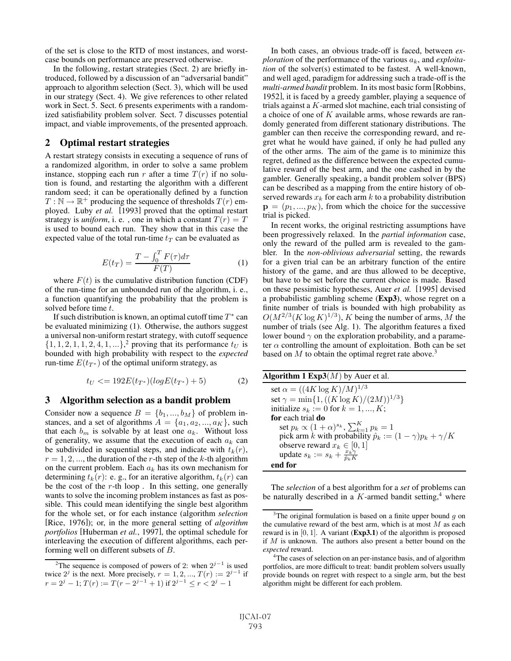of the set is close to the RTD of most instances, and worstcase bounds on performance are preserved otherwise.

In the following, restart strategies (Sect. 2) are briefly introduced, followed by a discussion of an "adversarial bandit" approach to algorithm selection (Sect. 3), which will be used in our strategy (Sect. 4). We give references to other related work in Sect. 5. Sect. 6 presents experiments with a randomized satisfiability problem solver. Sect. 7 discusses potential impact, and viable improvements, of the presented approach.

#### 2 Optimal restart strategies

A restart strategy consists in executing a sequence of runs of a randomized algorithm, in order to solve a same problem instance, stopping each run r after a time  $T(r)$  if no solution is found, and restarting the algorithm with a different random seed; it can be operationally defined by a function  $T : \mathbb{N} \to \mathbb{R}^+$  producing the sequence of thresholds  $T(r)$  employed. Luby *et al.* [1993] proved that the optimal restart strategy is *uniform*, i. e., one in which a constant  $T(r) = T$ is used to bound each run. They show that in this case the expected value of the total run-time  $t_T$  can be evaluated as

$$
E(t_T) = \frac{T - \int_0^T F(\tau) d\tau}{F(T)} \tag{1}
$$

where  $F(t)$  is the cumulative distribution function (CDF) the run-time for an unbounded run of the algorithm i.e. of the run-time for an unbounded run of the algorithm, i. e., a function quantifying the probability that the problem is solved before time t.

If such distribution is known, an optimal cutoff time  $T^*$  can be evaluated minimizing (1). Otherwise, the authors suggest a universal non-uniform restart strategy, with cutoff sequence  $\{1, 1, 2, 1, 1, 2, 4, 1, \ldots\}$ <sup>2</sup> proving that its performance  $t_U$  is bounded with high probability with respect to the *expected* bounded with high probability with respect to the *expected* run-time  $E(t_{T^*})$  of the optimal uniform strategy, as

$$
t_U \leq 192E(t_{T^*})(log E(t_{T^*}) + 5)
$$
 (2)

#### 3 Algorithm selection as a bandit problem

Consider now a sequence  $B = \{b_1, ..., b_M\}$  of problem instances, and a set of algorithms  $A = \{a_1, a_2, ..., a_K\}$ , such that each  $b_m$  is solvable by at least one  $a_k$ . Without loss of generality, we assume that the execution of each  $a_k$  can be subdivided in sequential steps, and indicate with  $t_k(r)$ ,  $r = 1, 2, \dots$ , the duration of the r-th step of the k-th algorithm on the current problem. Each  $a_k$  has its own mechanism for determining  $t_k(r)$ : e. g., for an iterative algorithm,  $t_k(r)$  can be the cost of the  $r$ -th loop. In this setting, one generally wants to solve the incoming problem instances as fast as possible. This could mean identifying the single best algorithm for the whole set, or for each instance (algorithm *selection* [Rice, 1976]); or, in the more general setting of *algorithm portfolios* [Huberman *et al.*, 1997], the optimal schedule for interleaving the execution of different algorithms, each performing well on different subsets of B.

In both cases, an obvious trade-off is faced, between *exploration* of the performance of the various  $a_k$ , and *exploitation* of the solver(s) estimated to be fastest. A well-known, and well aged, paradigm for addressing such a trade-off is the *multi-armed bandit* problem. In its most basic form [Robbins, 1952], it is faced by a greedy gambler, playing a sequence of trials against a K-armed slot machine, each trial consisting of a choice of one of K available arms, whose rewards are randomly generated from different stationary distributions. The gambler can then receive the corresponding reward, and regret what he would have gained, if only he had pulled any of the other arms. The aim of the game is to minimize this regret, defined as the difference between the expected cumulative reward of the best arm, and the one cashed in by the gambler. Generally speaking, a bandit problem solver (BPS) can be described as a mapping from the entire history of observed rewards  $x_k$  for each arm  $k$  to a probability distribution  $\mathbf{p} = (p_1, ..., p_K)$ , from which the choice for the successive trial is picked.

In recent works, the original restricting assumptions have been progressively relaxed. In the *partial information* case, only the reward of the pulled arm is revealed to the gambler. In the *non-oblivious adversarial* setting, the rewards for a given trial can be an arbitrary function of the entire history of the game, and are thus allowed to be deceptive, but have to be set before the current choice is made. Based on these pessimistic hypotheses, Auer *et al.* [1995] devised a probabilistic gambling scheme (Exp3), whose regret on a finite number of trials is bounded with high probability as  $O(M^{2/3}(K \log K)^{1/3})$ , K being the number of arms, M the number of trials (see Alg. 1). The algorithm features a fixed lower bound  $\gamma$  on the exploration probability, and a parameter  $\alpha$  controlling the amount of exploitation. Both can be set based on M to obtain the optimal regret rate above.<sup>3</sup>

| <b>Algorithm 1 Exp3</b> $(M)$ by Auer et al.                          |
|-----------------------------------------------------------------------|
| set $\alpha = ((4K \log K)/M)^{1/3}$                                  |
| set $\gamma = \min\{1, ((K \log K)/(2M))^{1/3}\}\$                    |
| initialize $s_k := 0$ for $k = 1, , K$ ;                              |
| for each trial do                                                     |
| set $p_k \propto (1+\alpha)^{s_k}$ , $\sum_{k=1}^{K} p_k = 1$         |
| pick arm k with probability $\hat{p}_k := (1 - \gamma)p_k + \gamma/K$ |
| observe reward $x_k \in [0,1]$                                        |
| update $s_k := s_k + \frac{x_k \gamma}{\hat{n}_k K}$                  |
| end for                                                               |

The *selection* of a best algorithm for a *set* of problems can be naturally described in a  $K$ -armed bandit setting,<sup>4</sup> where

<sup>&</sup>lt;sup>2</sup>The sequence is composed of powers of 2: when  $2^{j-1}$  is used twice  $2^{j}$  is the next. More precisely,  $r = 1, 2, ..., T(r) := 2^{j-1}$  if  $r = 2^{j} - 1$ ;  $T(r) := T(r - 2^{j-1} + 1)$  if  $2^{j-1} \le r < 2^{j} - 1$ 

<sup>&</sup>lt;sup>3</sup>The original formulation is based on a finite upper bound g on cumulative reward of the best arm which is at most M as each the cumulative reward of the best arm, which is at most  $M$  as each reward is in  $[0, 1]$ . A variant (Exp3.1) of the algorithm is proposed if M is unknown. The authors also present a better bound on the *expected* reward.

<sup>&</sup>lt;sup>4</sup>The cases of selection on an per-instance basis, and of algorithm portfolios, are more difficult to treat: bandit problem solvers usually provide bounds on regret with respect to a single arm, but the best algorithm might be different for each problem.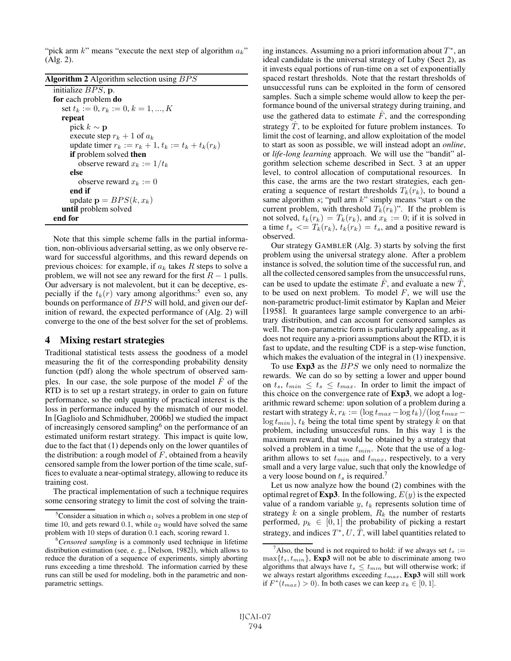"pick arm  $k$ " means "execute the next step of algorithm  $a_k$ " (Alg. 2).

| <b>Algorithm 2</b> Algorithm selection using $BPS$      |
|---------------------------------------------------------|
| initialize $BPS$ , p.                                   |
| for each problem do                                     |
| set $t_k := 0, r_k := 0, k = 1, , K$                    |
| repeat                                                  |
| pick $k \sim \mathbf{p}$                                |
| execute step $r_k + 1$ of $a_k$                         |
| update timer $r_k := r_k + 1$ , $t_k := t_k + t_k(r_k)$ |
| <b>if</b> problem solved <b>then</b>                    |
| observe reward $x_k := 1/t_k$                           |
| else                                                    |
| observe reward $x_k := 0$                               |
| end if                                                  |
| update $\mathbf{p} = BPS(k, x_k)$                       |
| until problem solved                                    |
| end for                                                 |

Note that this simple scheme falls in the partial information, non-oblivious adversarial setting, as we only observe reward for successful algorithms, and this reward depends on previous choices: for example, if  $a_k$  takes R steps to solve a problem, we will not see any reward for the first  $R - 1$  pulls. Our adversary is not malevolent, but it can be deceptive, especially if the  $t_k(r)$  vary among algorithms:<sup>5</sup> even so, any bounds on performance of BPS will hold, and given our definition of reward, the expected performance of (Alg. 2) will converge to the one of the best solver for the set of problems.

## 4 Mixing restart strategies

Traditional statistical tests assess the goodness of a model measuring the fit of the corresponding probability density function (pdf) along the whole spectrum of observed samples. In our case, the sole purpose of the model  $\ddot{F}$  of the RTD is to set up a restart strategy, in order to gain on future performance, so the only quantity of practical interest is the loss in performance induced by the mismatch of our model. In [Gagliolo and Schmidhuber, 2006b] we studied the impact of increasingly censored sampling<sup>6</sup> on the performance of an estimated uniform restart strategy. This impact is quite low, due to the fact that (1) depends only on the lower quantiles of the distribution: a rough model of  $F$ , obtained from a heavily censored sample from the lower portion of the time scale, suffices to evaluate a near-optimal strategy, allowing to reduce its training cost.

The practical implementation of such a technique requires some censoring strategy to limit the cost of solving the training instances. Assuming no a priori information about  $T^*$ , an ideal candidate is the universal strategy of Luby (Sect 2), as it invests equal portions of run-time on a set of exponentially spaced restart thresholds. Note that the restart thresholds of unsuccessful runs can be exploited in the form of censored samples. Such a simple scheme would allow to keep the performance bound of the universal strategy during training, and use the gathered data to estimate  $\ddot{F}$ , and the corresponding strategy  $T$ , to be exploited for future problem instances. To limit the cost of learning, and allow exploitation of the model to start as soon as possible, we will instead adopt an *online*, or *life-long learning* approach. We will use the "bandit" algorithm selection scheme described in Sect. 3 at an upper level, to control allocation of computational resources. In this case, the arms are the two restart strategies, each generating a sequence of restart thresholds  $T_k(r_k)$ , to bound a same algorithm s; "pull arm  $k$ " simply means "start s on the current problem, with threshold  $T_k(r_k)$ ". If the problem is not solved,  $t_k(r_k) = T_k(r_k)$ , and  $x_k := 0$ ; if it is solved in a time  $t_s \leq T_k(r_k)$ ,  $t_k(r_k) = t_s$ , and a positive reward is observed.

Our strategy GAMBLER (Alg. 3) starts by solving the first problem using the universal strategy alone. After a problem instance is solved, the solution time of the successful run, and all the collected censored samples from the unsuccessful runs, can be used to update the estimate  $\hat{F}$ , and evaluate a new  $\hat{T}$ , to be used on next problem. To model  $F$ , we will use the non-parametric product-limit estimator by Kaplan and Meier [1958]. It guarantees large sample convergence to an arbitrary distribution, and can account for censored samples as well. The non-parametric form is particularly appealing, as it does not require any a-priori assumptions about the RTD, it is fast to update, and the resulting CDF is a step-wise function, which makes the evaluation of the integral in (1) inexpensive.

To use Exp3 as the BPS we only need to normalize the rewards. We can do so by setting a lower and upper bound on  $t_s$ ,  $t_{min} \leq t_s \leq t_{max}$ . In order to limit the impact of this choice on the convergence rate of Exp3, we adopt a logarithmic reward scheme: upon solution of a problem during a restart with strategy  $k$ ,  $r_k := (\log t_{max} - \log t_k)/(\log t_{max} - \log t_k)$  $log t_{min}$ ),  $t_k$  being the total time spent by strategy k on that problem, including unsuccesful runs. In this way 1 is the maximum reward, that would be obtained by a strategy that solved a problem in a time  $t_{min}$ . Note that the use of a logarithm allows to set  $t_{min}$  and  $t_{max}$ , respectively, to a very small and a very large value, such that only the knowledge of a very loose bound on  $t_s$  is required.<sup>7</sup>

Let us now analyze how the bound (2) combines with the optimal regret of **Exp3**. In the following,  $E(y)$  is the expected value of a random variable  $y, t_k$  represents solution time of strategy  $k$  on a single problem,  $R_k$  the number of restarts performed,  $p_k \in [0, 1]$  the probability of picking a restart strategy, and indices  $T^*$ ,  $U$ ,  $\hat{T}$ , will label quantities related to

<sup>&</sup>lt;sup>5</sup>Consider a situation in which  $a_1$  solves a problem in one step of Consider a situation in which  $a_1$  solves a problem in one step of 10 and gets reward 0.1 while  $a_2$  would have solved the same time 10, and gets reward 0.1, while  $a_2$  would have solved the same<br>problem with 10 steps of duration 0.1 each, scoring reward 1 problem with 10 steps of duration 0.1 each, scoring reward 1.

*Censored sampling* is a commonly used technique in lifetime distribution estimation (see, e. g., [Nelson, 1982]), which allows to reduce the duration of a sequence of experiments, simply aborting runs exceeding a time threshold. The information carried by these runs can still be used for modeling, both in the parametric and nonparametric settings.

<sup>&</sup>lt;sup>7</sup>Also, the bound is not required to hold: if we always set  $t_s := x\{t, t_{min}\}\$  **Exp3** will not be able to discriminate among two  $\max\{t_s, t_{min}\}\$ , Exp3 will not be able to discriminate among two algorithms that always have  $t_s \leq t_{min}$  but will otherwise work; if we always restart algorithms exceeding  $t_{max}$ , Exp3 will still work if  $F^*(t_{max}) > 0$ ). In both cases we can keep  $x_k \in [0, 1]$ .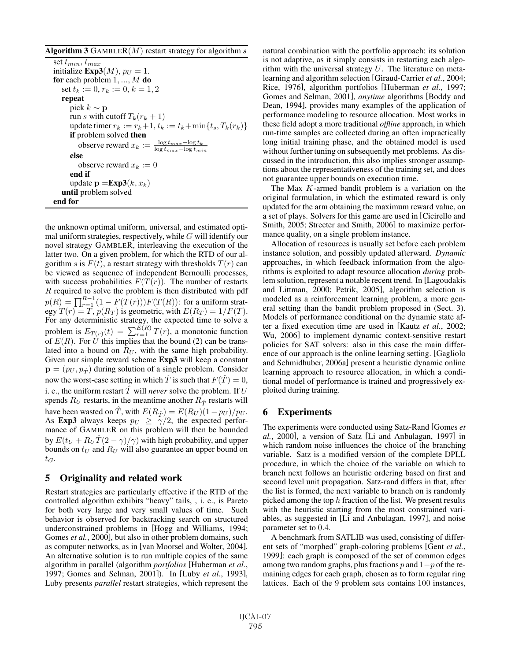### Algorithm 3 GAMBLER $(M)$  restart strategy for algorithm s set  $t_{min}$ ,  $t_{max}$ initialize  $\text{Exp3}(M)$ ,  $p_U = 1$ . for each problem  $1, ..., M$  do set  $t_k := 0, r_k := 0, k = 1, 2$ repeat pick  $k$  ∼ **p** run s with cutoff  $T_k(r_k + 1)$ update timer  $r_k := r_k + 1$ ,  $t_k := t_k + \min\{t_s, T_k(r_k)\}$ if problem solved then observe reward  $x_k := \frac{\log t_{max} - \log t_k}{\log t_{max} - \log t_{min}}$ else observe reward  $x_k := 0$ end if update  $\mathbf{p} = \mathbf{Exp3}(k, x_k)$ until problem solved end for

the unknown optimal uniform, universal, and estimated optimal uniform strategies, respectively, while  $G$  will identify our novel strategy GAMBLER, interleaving the execution of the latter two. On a given problem, for which the RTD of our algorithm s is  $F(t)$ , a restart strategy with thresholds  $T(r)$  can be viewed as sequence of independent Bernoulli processes, with success probabilities  $F(T(r))$ . The number of restarts R required to solve the problem is then distributed with pdf  $p(R) = \prod_{r=1}^{R-1} (1 - F(T(r))) F(T(R))$ : for a uniform strat-<br>eav  $T(r) = T_p(R_T)$  is geometric with  $F(R_T) = 1/F(T)$ egy  $T(r) = T$ ,  $p(R_T)$  is geometric, with  $E(R_T) = 1/F(T)$ .<br>For any deterministic strategy the expected time to solve a For any deterministic strategy, the expected time to solve a problem is  $E_{T(r)}(t) = \sum_{r=1}^{E(R)} T(r)$ , a monotonic function<br>of  $E(R)$ . For *II* this implies that the bound (2) can be transof  $E(R)$ . For U this implies that the bound (2) can be translated into a bound on  $R_U$ , with the same high probability. Given our simple reward scheme Exp3 will keep a constant  $\mathbf{p} = (p_U, p_{\hat{T}})$  during solution of a single problem. Consider now the worst-case setting in which  $\hat{T}$  is such that  $F(\hat{T})=0$ , i. e., the uniform restart  $\hat{T}$  will *never* solve the problem. If U spends  $R_U$  restarts, in the meantime another  $R_{\hat{T}}$  restarts will have been wasted on  $\hat{T}$ , with  $E(R_{\hat{T}}) = E(R_U)(1-p_U)/pv$ . As Exp3 always keeps  $p_U \ge \gamma/2$ , the expected performance of GAMBLER on this problem will then be bounded by  $E(t_U + R_U T(2 - \gamma)/\gamma)$  with high probability, and upper bounds on  $t_U$  and  $R_U$  will also guarantee an upper bound on  $t_G$ .

## 5 Originality and related work

Restart strategies are particularly effective if the RTD of the controlled algorithm exhibits "heavy" tails, , i. e., is Pareto for both very large and very small values of time. Such behavior is observed for backtracking search on structured underconstrained problems in [Hogg and Williams, 1994; Gomes *et al.*, 2000], but also in other problem domains, such as computer networks, as in [van Moorsel and Wolter, 2004]. An alternative solution is to run multiple copies of the same algorithm in parallel (algorithm *portfolios* [Huberman *et al.*, 1997; Gomes and Selman, 2001]). In [Luby *et al.*, 1993], Luby presents *parallel* restart strategies, which represent the natural combination with the portfolio approach: its solution is not adaptive, as it simply consists in restarting each algorithm with the universal strategy  $U$ . The literature on metalearning and algorithm selection [Giraud-Carrier *et al.*, 2004; Rice, 1976], algorithm portfolios [Huberman *et al.*, 1997; Gomes and Selman, 2001], *anytime* algorithms [Boddy and Dean, 1994], provides many examples of the application of performance modeling to resource allocation. Most works in these field adopt a more traditional *offline* approach, in which run-time samples are collected during an often impractically long initial training phase, and the obtained model is used without further tuning on subsequently met problems. As discussed in the introduction, this also implies stronger assumptions about the representativeness of the training set, and does not guarantee upper bounds on execution time.

The Max K-armed bandit problem is a variation on the original formulation, in which the estimated reward is only updated for the arm obtaining the maximum reward value, on a set of plays. Solvers for this game are used in [Cicirello and Smith, 2005; Streeter and Smith, 2006] to maximize performance quality, on a single problem instance.

Allocation of resources is usually set before each problem instance solution, and possibly updated afterward. *Dynamic* approaches, in which feedback information from the algorithms is exploited to adapt resource allocation *during* problem solution, represent a notable recent trend. In [Lagoudakis and Littman, 2000; Petrik, 2005], algorithm selection is modeled as a reinforcement learning problem, a more general setting than the bandit problem proposed in (Sect. 3). Models of performance conditional on the dynamic state after a fixed execution time are used in [Kautz *et al.*, 2002; Wu, 2006] to implement dynamic context-sensitive restart policies for SAT solvers: also in this case the main difference of our approach is the online learning setting. [Gagliolo and Schmidhuber, 2006a] present a heuristic dynamic online learning approach to resource allocation, in which a conditional model of performance is trained and progressively exploited during training.

# 6 Experiments

The experiments were conducted using Satz-Rand [Gomes *et al.*, 2000], a version of Satz [Li and Anbulagan, 1997] in which random noise influences the choice of the branching variable. Satz is a modified version of the complete DPLL procedure, in which the choice of the variable on which to branch next follows an heuristic ordering based on first and second level unit propagation. Satz-rand differs in that, after the list is formed, the next variable to branch on is randomly picked among the top  $h$  fraction of the list. We present results with the heuristic starting from the most constrained variables, as suggested in [Li and Anbulagan, 1997], and noise parameter set to 0.4.

A benchmark from SATLIB was used, consisting of different sets of "morphed" graph-coloring problems [Gent *et al.*, 1999]: each graph is composed of the set of common edges among two random graphs, plus fractions  $p$  and  $1-p$  of the remaining edges for each graph, chosen as to form regular ring lattices. Each of the 9 problem sets contains 100 instances,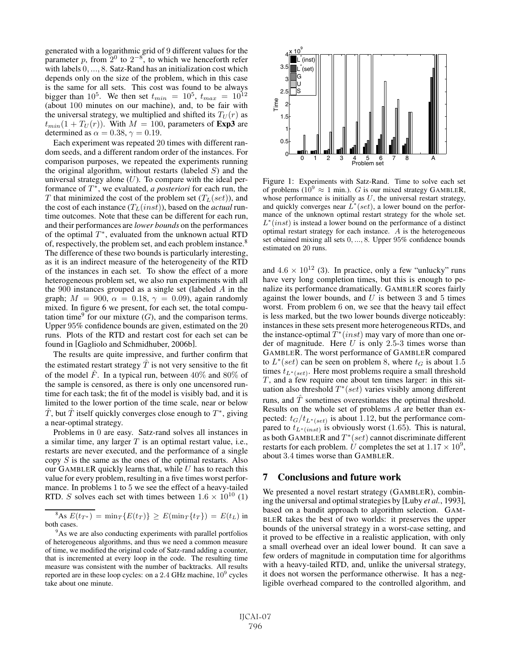generated with a logarithmic grid of 9 different values for the parameter p, from  $2^{0}$  to  $2^{-8}$ , to which we henceforth refer with labels 0, ..., 8. Satz-Rand has an initialization cost which depends only on the size of the problem, which in this case is the same for all sets. This cost was found to be always bigger than  $10^5$ . We then set  $t_{min} = 10^5$ ,  $t_{max} = 10^{12}$ (about 100 minutes on our machine), and, to be fair with the universal strategy, we multiplied and shifted its  $T_U(r)$  as  $t_{min}(1 + T_U(r))$ . With  $M = 100$ , parameters of **Exp3** are determined as  $\alpha = 0.38, \gamma = 0.19$ .

Each experiment was repeated 20 times with different random seeds, and a different random order of the instances. For comparison purposes, we repeated the experiments running the original algorithm, without restarts (labeled  $S$ ) and the universal strategy alone  $(U)$ . To compare with the ideal performance of  $T^*$ , we evaluated, *a posteriori* for each run, the T that minimized the cost of the problem set  $(T_L(set))$ , and the cost of each instance  $(T_L(nst))$ , based on the *actual* runtime outcomes. Note that these can be different for each run, and their performances are *lower bounds* on the performances of the optimal  $T^*$ , evaluated from the unknown actual RTD of, respectively, the problem set, and each problem instance.<sup>8</sup> The difference of these two bounds is particularly interesting, as it is an indirect measure of the heterogeneity of the RTD of the instances in each set. To show the effect of a more heterogeneous problem set, we also run experiments with all the 900 instances grouped as a single set (labeled <sup>A</sup> in the graph;  $M = 900$ ,  $\alpha = 0.18$ ,  $\gamma = 0.09$ ), again randomly mixed. In figure 6 we present, for each set, the total computation time<sup>9</sup> for our mixture  $(G)$ , and the comparison terms. Upper 95% confidence bounds are given, estimated on the 20 runs. Plots of the RTD and restart cost for each set can be found in [Gagliolo and Schmidhuber, 2006b].

The results are quite impressive, and further confirm that the estimated restart strategy  $\hat{T}$  is not very sensitive to the fit of the model  $\ddot{F}$ . In a typical run, between 40% and 80% of the sample is censored, as there is only one uncensored runtime for each task; the fit of the model is visibly bad, and it is limited to the lower portion of the time scale, near or below  $\hat{T}$ , but  $\hat{T}$  itself quickly converges close enough to  $T^*$ , giving a near-optimal strategy.

Problems in 0 are easy. Satz-rand solves all instances in a similar time, any larger  $T$  is an optimal restart value, i.e., restarts are never executed, and the performance of a single copy  $S$  is the same as the ones of the optimal restarts. Also our GAMBLER quickly learns that, while  $U$  has to reach this value for every problem, resulting in a five times worst performance. In problems 1 to 5 we see the effect of a heavy-tailed RTD. S solves each set with times between  $1.6 \times 10^{10}$  (1)



Figure 1: Experiments with Satz-Rand. Time to solve each set of problems ( $10^9 \approx 1$  min.). G is our mixed strategy GAMBLER, whose performance is initially as  $U$ , the universal restart strategy, and quickly converges near  $L^*(set)$ , a lower bound on the performance of the unknown optimal restart strategy for the whole set.  $L^*(inst)$  is instead a lower bound on the performance of a distinct optimal restart strategy for each instance. A is the heterogeneous set obtained mixing all sets <sup>0</sup>, ..., <sup>8</sup>. Upper <sup>95</sup>% confidence bounds estimated on 20 runs.

and  $4.6 \times 10^{12}$  (3). In practice, only a few "unlucky" runs have very long completion times, but this is enough to penalize its performance dramatically. GAMBLER scores fairly against the lower bounds, and  $U$  is between 3 and 5 times worst. From problem 6 on, we see that the heavy tail effect is less marked, but the two lower bounds diverge noticeably: instances in these sets present more heterogeneous RTDs, and the instance-optimal  $T^*(inst)$  may vary of more than one order of magnitude. Here  $U$  is only 2.5-3 times worse than GAMBLER. The worst performance of GAMBLER compared to  $L^*(set)$  can be seen on problem 8, where  $t_G$  is about 1.5 times  $t_{L^*(set)}$ . Here most problems require a small threshold  $T$ , and a few require one about ten times larger: in this situation also threshold  $T^*(set)$  varies visibly among different runs, and  $T$  sometimes overestimates the optimal threshold. Results on the whole set of problems A are better than expected:  $t_G/t_{L^*(set)}$  is about 1.12, but the performance compared to  $t_{L^*(inst)}$  is obviously worst (1.65). This is natural, as both GAMBLER and  $T^*(set)$  cannot discriminate different restarts for each problem. U completes the set at  $1.17 \times 10^9$ , about 3.4 times worse than GAMBLER.

#### 7 Conclusions and future work

We presented a novel restart strategy (GAMBLER), combining the universal and optimal strategies by [Luby *et al.*, 1993], based on a bandit approach to algorithm selection. GAM-BLER takes the best of two worlds: it preserves the upper bounds of the universal strategy in a worst-case setting, and it proved to be effective in a realistic application, with only a small overhead over an ideal lower bound. It can save a few orders of magnitude in computation time for algorithms with a heavy-tailed RTD, and, unlike the universal strategy, it does not worsen the performance otherwise. It has a negligible overhead compared to the controlled algorithm, and

<sup>&</sup>lt;sup>8</sup>As  $E(t_T^*) = \min_T \{E(t_T)\} \ge E(\min_T \{t_T\}) = E(t_L)$  in both cases.

<sup>&</sup>lt;sup>9</sup>As we are also conducting experiments with parallel portfolios of heterogeneous algorithms, and thus we need a common measure of time, we modified the original code of Satz-rand adding a counter, that is incremented at every loop in the code. The resulting time measure was consistent with the number of backtracks. All results reported are in these loop cycles: on a  $2.4$  GHz machine,  $10<sup>9</sup>$  cycles take about one minute.